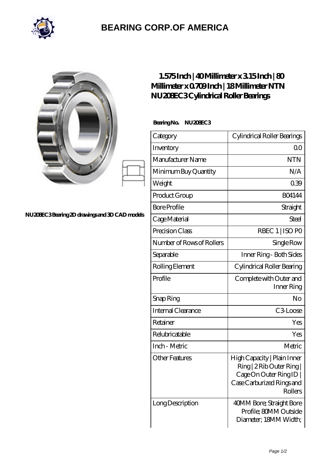

## **[BEARING CORP.OF AMERICA](https://bluemondayreview.com)**

| NU20EC3Bearing 2D drawings and 3D CAD models | $1.575$ Inch   40Millimeter x 315Inch   80<br>Millimeter x 0709Inch   18Millimeter NTN<br>NU20EC3Cylindrical Roller Bearings<br>BearingNo.<br>NU20BEC3 |                                                                                                                           |
|----------------------------------------------|--------------------------------------------------------------------------------------------------------------------------------------------------------|---------------------------------------------------------------------------------------------------------------------------|
|                                              |                                                                                                                                                        |                                                                                                                           |
|                                              | Category                                                                                                                                               | Cylindrical Roller Bearings                                                                                               |
|                                              | Inventory                                                                                                                                              | 0 <sub>0</sub>                                                                                                            |
|                                              | Manufacturer Name                                                                                                                                      | <b>NTN</b>                                                                                                                |
|                                              | Minimum Buy Quantity                                                                                                                                   | N/A                                                                                                                       |
|                                              | Weight                                                                                                                                                 | 039                                                                                                                       |
|                                              | Product Group                                                                                                                                          | <b>BO4144</b>                                                                                                             |
|                                              | <b>Bore Profile</b>                                                                                                                                    | Straight                                                                                                                  |
|                                              | Cage Material                                                                                                                                          | Steel                                                                                                                     |
|                                              | Precision Class                                                                                                                                        | RBEC 1   ISO PO                                                                                                           |
|                                              | Number of Rows of Rollers                                                                                                                              | Single Row                                                                                                                |
|                                              | Separable                                                                                                                                              | Inner Ring - Both Sides                                                                                                   |
|                                              | Rolling Element                                                                                                                                        | Cylindrical Roller Bearing                                                                                                |
|                                              | Profile                                                                                                                                                | Complete with Outer and<br>Inner Ring                                                                                     |
|                                              | Snap Ring                                                                                                                                              | No                                                                                                                        |
|                                              | Internal Clearance                                                                                                                                     | C3Loose                                                                                                                   |
|                                              | Retainer                                                                                                                                               | Yes                                                                                                                       |
|                                              | Relubricatable                                                                                                                                         | Yes                                                                                                                       |
|                                              | Inch - Metric                                                                                                                                          | Metric                                                                                                                    |
|                                              | <b>Other Features</b>                                                                                                                                  | High Capacity   Plain Inner<br>Ring   2 Rib Outer Ring  <br>Cage On Outer Ring ID<br>Case Carburized Rings and<br>Rollers |
|                                              | Long Description                                                                                                                                       | 40MM Bore; Straight Bore<br>Profile; 80MM Outside<br>Diameter; 18MM Width;                                                |

 $\overline{\phantom{a}}$